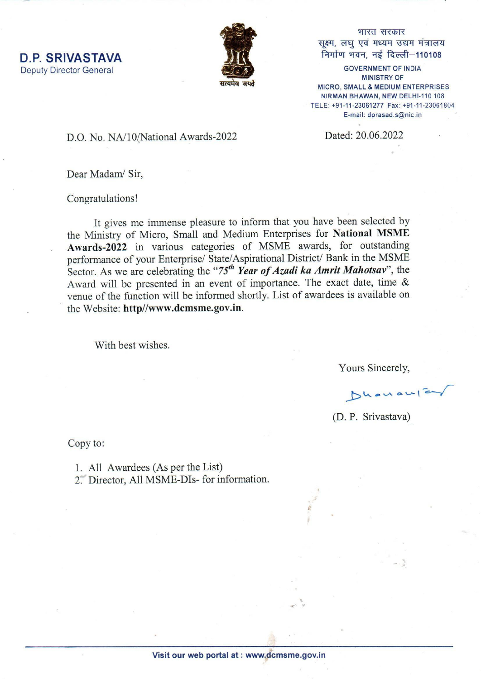**D.P. SRIVASTAVA Deputy Director General** 



भारत सरकार सूक्ष्म, लघु एवं मध्यम उद्यम मंत्रालय निर्माण भवन, नई दिल्ली-110108

**GOVERNMENT OF INDIA MINISTRY OF** MICRO, SMALL & MEDIUM ENTERPRISES NIRMAN BHAWAN, NEW DELHI-110 108 TELE: +91-11-23061277 Fax: +91-11-23061804 E-mail: dprasad.s@nic.in

Dated: 20.06.2022

D.O. No. NA/10/National Awards-2022

Dear Madam/ Sir,

Congratulations!

It gives me immense pleasure to inform that you have been selected by the Ministry of Micro, Small and Medium Enterprises for National MSME Awards-2022 in various categories of MSME awards, for outstanding performance of your Enterprise/ State/Aspirational District/ Bank in the MSME Sector. As we are celebrating the "75<sup>th</sup> Year of Azadi ka Amrit Mahotsav", the Award will be presented in an event of importance. The exact date, time  $\&$ venue of the function will be informed shortly. List of awardees is available on the Website: http//www.dcmsme.gov.in.

With best wishes.

Yours Sincerely,

Dhanaufer

(D. P. Srivastava)

Copy to:

1. All Awardees (As per the List)

2. Director, All MSME-DIs- for information.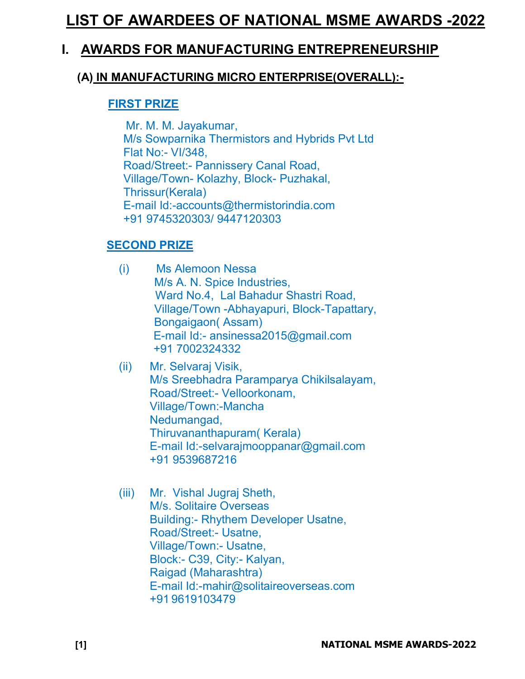# LIST OF AWARDEES OF NATIONAL MSME AWARDS -2022

# I. AWARDS FOR MANUFACTURING ENTREPRENEURSHIP

# (A) IN MANUFACTURING MICRO ENTERPRISE(OVERALL):-

#### FIRST PRIZE

 Mr. M. M. Jayakumar, M/s Sowparnika Thermistors and Hybrids Pvt Ltd Flat No:- VI/348, Road/Street:- Pannissery Canal Road, Village/Town- Kolazhy, Block- Puzhakal, Thrissur(Kerala) E-mail Id:-accounts@thermistorindia.com +91 9745320303/ 9447120303

# SECOND PRIZE

- (i) Ms Alemoon Nessa M/s A. N. Spice Industries, Ward No.4, Lal Bahadur Shastri Road, Village/Town -Abhayapuri, Block-Tapattary, Bongaigaon( Assam) E-mail Id:- ansinessa2015@gmail.com +91 7002324332
- (ii) Mr. Selvaraj Visik, M/s Sreebhadra Paramparya Chikilsalayam, Road/Street:- Velloorkonam, Village/Town:-Mancha Nedumangad, Thiruvananthapuram( Kerala) E-mail Id:-selvarajmooppanar@gmail.com +91 9539687216
- (iii) Mr. Vishal Jugraj Sheth, M/s. Solitaire Overseas Building:- Rhythem Developer Usatne, Road/Street:- Usatne, Village/Town:- Usatne, Block:- C39, City:- Kalyan, Raigad (Maharashtra) E-mail Id:-mahir@solitaireoverseas.com +91 9619103479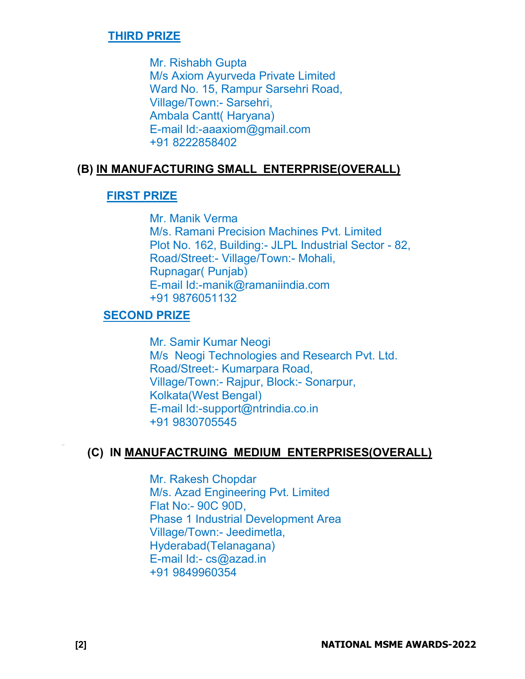#### THIRD PRIZE

Mr. Rishabh Gupta M/s Axiom Ayurveda Private Limited Ward No. 15, Rampur Sarsehri Road, Village/Town:- Sarsehri, Ambala Cantt( Haryana) E-mail Id:-aaaxiom@gmail.com +91 8222858402

#### (B) IN MANUFACTURING SMALL ENTERPRISE(OVERALL)

#### FIRST PRIZE

Mr. Manik Verma M/s. Ramani Precision Machines Pvt. Limited Plot No. 162, Building:- JLPL Industrial Sector - 82, Road/Street:- Village/Town:- Mohali, Rupnagar( Punjab) E-mail Id:-manik@ramaniindia.com +91 9876051132

# SECOND PRIZE

Mr. Samir Kumar Neogi M/s Neogi Technologies and Research Pvt. Ltd. Road/Street:- Kumarpara Road, Village/Town:- Rajpur, Block:- Sonarpur, Kolkata(West Bengal) E-mail Id:-support@ntrindia.co.in +91 9830705545

# (C) IN MANUFACTRUING MEDIUM ENTERPRISES(OVERALL)

Mr. Rakesh Chopdar M/s. Azad Engineering Pvt. Limited Flat No:- 90C 90D, Phase 1 Industrial Development Area Village/Town:- Jeedimetla, Hyderabad(Telanagana) E-mail Id:- cs@azad.in +91 9849960354

,,,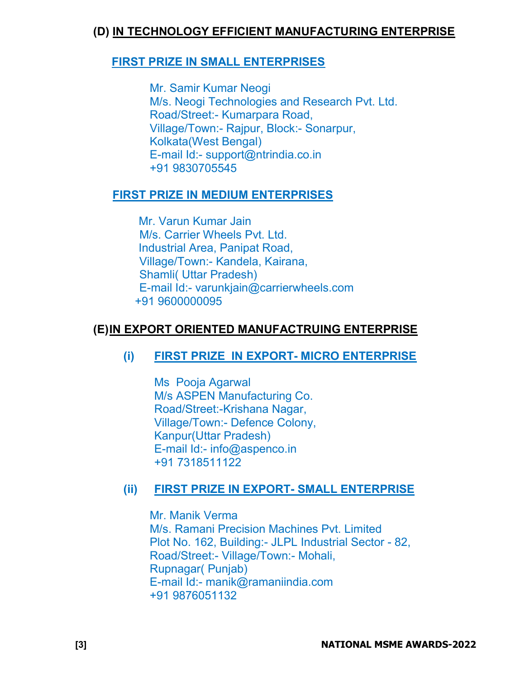# (D) IN TECHNOLOGY EFFICIENT MANUFACTURING ENTERPRISE

# FIRST PRIZE IN SMALL ENTERPRISES

Mr. Samir Kumar Neogi M/s. Neogi Technologies and Research Pvt. Ltd. Road/Street:- Kumarpara Road, Village/Town:- Rajpur, Block:- Sonarpur, Kolkata(West Bengal) E-mail Id:- support@ntrindia.co.in +91 9830705545

# FIRST PRIZE IN MEDIUM ENTERPRISES

 Mr. Varun Kumar Jain M/s. Carrier Wheels Pvt. Ltd. Industrial Area, Panipat Road, Village/Town:- Kandela, Kairana, Shamli( Uttar Pradesh) E-mail Id:- varunkjain@carrierwheels.com +91 9600000095

# (E) IN EXPORT ORIENTED MANUFACTRUING ENTERPRISE

# (i) FIRST PRIZE IN EXPORT- MICRO ENTERPRISE

Ms Pooja Agarwal M/s ASPEN Manufacturing Co. Road/Street:-Krishana Nagar, Village/Town:- Defence Colony, Kanpur(Uttar Pradesh) E-mail Id:- info@aspenco.in +91 7318511122

# (ii) FIRST PRIZE IN EXPORT- SMALL ENTERPRISE

Mr. Manik Verma M/s. Ramani Precision Machines Pvt. Limited Plot No. 162, Building:- JLPL Industrial Sector - 82, Road/Street:- Village/Town:- Mohali, Rupnagar( Punjab) E-mail Id:- manik@ramaniindia.com +91 9876051132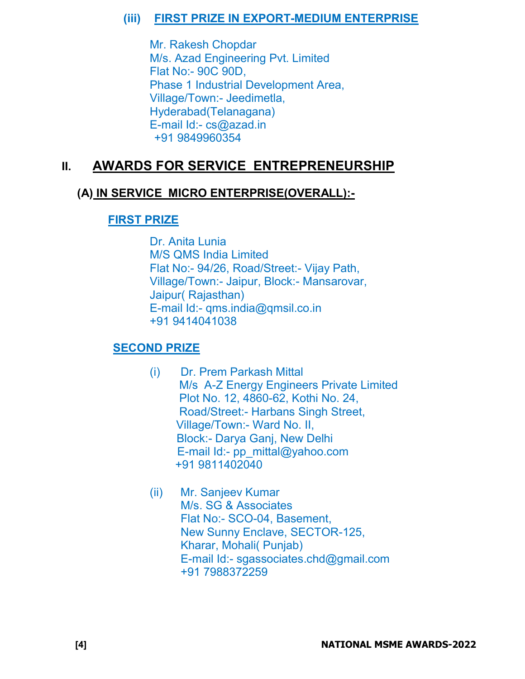# (iii) FIRST PRIZE IN EXPORT-MEDIUM ENTERPRISE

Mr. Rakesh Chopdar M/s. Azad Engineering Pvt. Limited Flat No:- 90C 90D, Phase 1 Industrial Development Area, Village/Town:- Jeedimetla, Hyderabad(Telanagana) E-mail Id:- cs@azad.in +91 9849960354

# II. AWARDS FOR SERVICE ENTREPRENEURSHIP

# (A) IN SERVICE MICRO ENTERPRISE(OVERALL):-

# FIRST PRIZE

Dr. Anita Lunia M/S QMS India Limited Flat No:- 94/26, Road/Street:- Vijay Path, Village/Town:- Jaipur, Block:- Mansarovar, Jaipur( Rajasthan) E-mail Id:- qms.india@qmsil.co.in +91 9414041038

# SECOND PRIZE

- (i) Dr. Prem Parkash Mittal M/s A-Z Energy Engineers Private Limited Plot No. 12, 4860-62, Kothi No. 24, Road/Street:- Harbans Singh Street, Village/Town:- Ward No. II, Block:- Darya Ganj, New Delhi E-mail Id:- pp\_mittal@yahoo.com +91 9811402040
- (ii) Mr. Sanjeev Kumar M/s. SG & Associates Flat No:- SCO-04, Basement, New Sunny Enclave, SECTOR-125, Kharar, Mohali( Punjab) E-mail Id:- sgassociates.chd@gmail.com +91 7988372259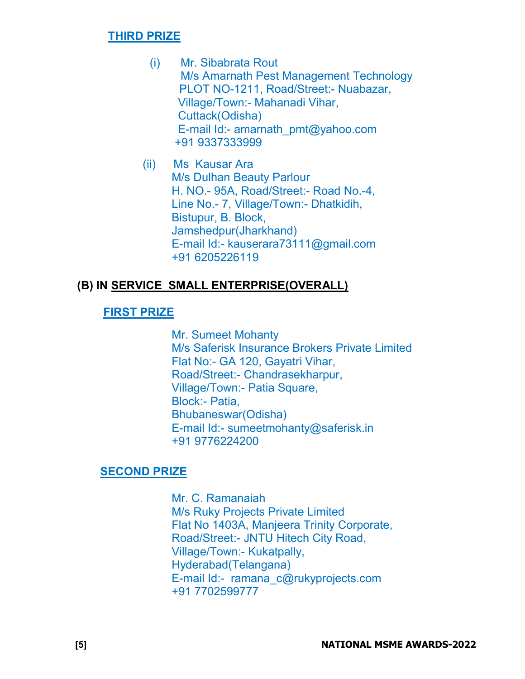#### THIRD PRIZE

- (i) Mr. Sibabrata Rout M/s Amarnath Pest Management Technology PLOT NO-1211, Road/Street:- Nuabazar, Village/Town:- Mahanadi Vihar, Cuttack(Odisha) E-mail Id:- amarnath\_pmt@yahoo.com +91 9337333999
- (ii) Ms Kausar Ara M/s Dulhan Beauty Parlour H. NO.- 95A, Road/Street:- Road No.-4, Line No.- 7, Village/Town:- Dhatkidih, Bistupur, B. Block, Jamshedpur(Jharkhand) E-mail Id:- kauserara73111@gmail.com +91 6205226119

# (B) IN SERVICE SMALL ENTERPRISE(OVERALL)

# FIRST PRIZE

Mr. Sumeet Mohanty M/s Saferisk Insurance Brokers Private Limited Flat No:- GA 120, Gayatri Vihar, Road/Street:- Chandrasekharpur, Village/Town:- Patia Square, Block:- Patia, Bhubaneswar(Odisha) E-mail Id:- sumeetmohanty@saferisk.in +91 9776224200

#### SECOND PRIZE

Mr. C. Ramanaiah M/s Ruky Projects Private Limited Flat No 1403A, Manjeera Trinity Corporate, Road/Street:- JNTU Hitech City Road, Village/Town:- Kukatpally, Hyderabad(Telangana) E-mail Id:- ramana\_c@rukyprojects.com +91 7702599777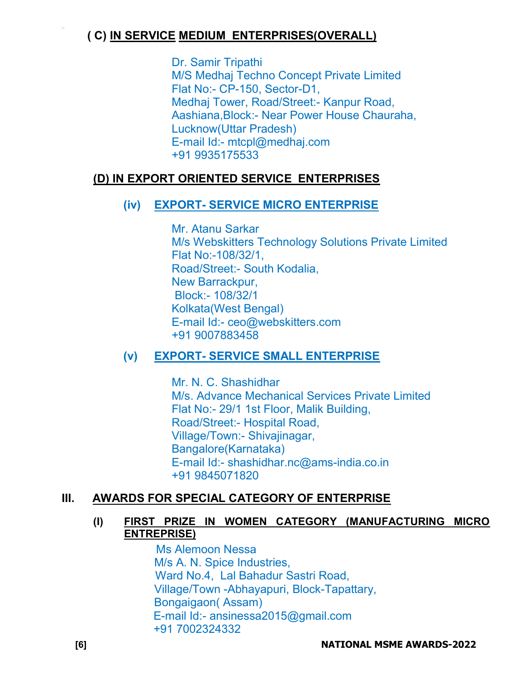# ( C) IN SERVICE MEDIUM ENTERPRISES(OVERALL)

Dr. Samir Tripathi M/S Medhaj Techno Concept Private Limited Flat No:- CP-150, Sector-D1, Medhaj Tower, Road/Street:- Kanpur Road, Aashiana,Block:- Near Power House Chauraha, Lucknow(Uttar Pradesh) E-mail Id:- mtcpl@medhaj.com +91 9935175533

# (D) IN EXPORT ORIENTED SERVICE ENTERPRISES

# (iv) EXPORT- SERVICE MICRO ENTERPRISE

Mr. Atanu Sarkar M/s Webskitters Technology Solutions Private Limited Flat No:-108/32/1, Road/Street:- South Kodalia, New Barrackpur, Block:- 108/32/1 Kolkata(West Bengal) E-mail Id:- ceo@webskitters.com +91 9007883458

# (v) EXPORT- SERVICE SMALL ENTERPRISE

Mr. N. C. Shashidhar M/s. Advance Mechanical Services Private Limited Flat No:- 29/1 1st Floor, Malik Building, Road/Street:- Hospital Road, Village/Town:- Shivajinagar, Bangalore(Karnataka) E-mail Id:- shashidhar.nc@ams-india.co.in +91 9845071820

# III. AWARDS FOR SPECIAL CATEGORY OF ENTERPRISE

#### (I) FIRST PRIZE IN WOMEN CATEGORY (MANUFACTURING MICRO ENTREPRISE)

 Ms Alemoon Nessa M/s A. N. Spice Industries, Ward No.4, Lal Bahadur Sastri Road, Village/Town -Abhayapuri, Block-Tapattary, Bongaigaon( Assam) E-mail Id:- ansinessa2015@gmail.com +91 7002324332

,,,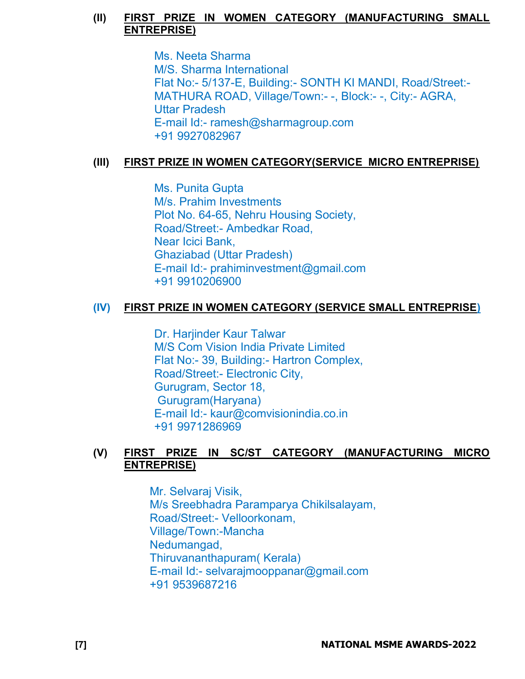#### (II) FIRST PRIZE IN WOMEN CATEGORY (MANUFACTURING SMALL ENTREPRISE)

Ms. Neeta Sharma M/S. Sharma International Flat No:- 5/137-E, Building:- SONTH KI MANDI, Road/Street:- MATHURA ROAD, Village/Town:- -, Block:- -, City:- AGRA, Uttar Pradesh E-mail Id:- ramesh@sharmagroup.com +91 9927082967

# (III) FIRST PRIZE IN WOMEN CATEGORY(SERVICE MICRO ENTREPRISE)

 Ms. Punita Gupta M/s. Prahim Investments Plot No. 64-65, Nehru Housing Society, Road/Street:- Ambedkar Road, Near Icici Bank, Ghaziabad (Uttar Pradesh) E-mail Id:- prahiminvestment@gmail.com +91 9910206900

# (IV) FIRST PRIZE IN WOMEN CATEGORY (SERVICE SMALL ENTREPRISE)

Dr. Harjinder Kaur Talwar M/S Com Vision India Private Limited Flat No:- 39, Building:- Hartron Complex, Road/Street:- Electronic City, Gurugram, Sector 18, Gurugram(Haryana) E-mail Id:- kaur@comvisionindia.co.in +91 9971286969

#### (V) FIRST PRIZE IN SC/ST CATEGORY (MANUFACTURING MICRO ENTREPRISE)

Mr. Selvaraj Visik, M/s Sreebhadra Paramparya Chikilsalayam, Road/Street:- Velloorkonam, Village/Town:-Mancha Nedumangad, Thiruvananthapuram( Kerala) E-mail Id:- selvarajmooppanar@gmail.com +91 9539687216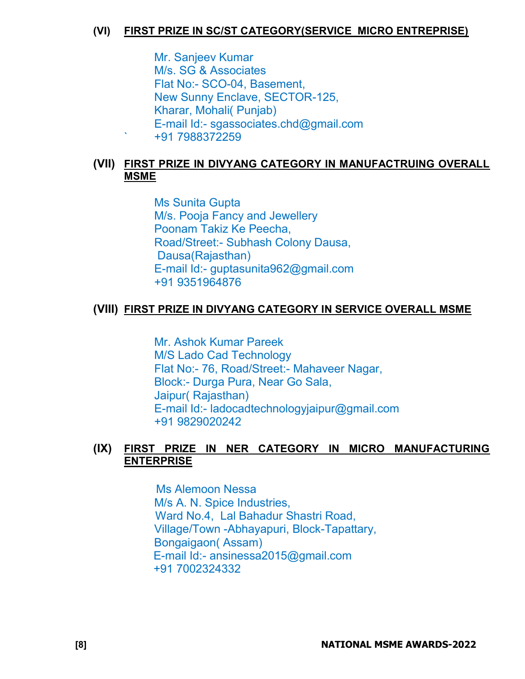#### (VI) FIRST PRIZE IN SC/ST CATEGORY(SERVICE MICRO ENTREPRISE)

Mr. Sanjeev Kumar M/s. SG & Associates Flat No:- SCO-04, Basement, New Sunny Enclave, SECTOR-125, Kharar, Mohali( Punjab) E-mail Id:- sgassociates.chd@gmail.com ` +91 7988372259

# (VII) FIRST PRIZE IN DIVYANG CATEGORY IN MANUFACTRUING OVERALL MSME

Ms Sunita Gupta M/s. Pooja Fancy and Jewellery Poonam Takiz Ke Peecha, Road/Street:- Subhash Colony Dausa, Dausa(Rajasthan) E-mail Id:- guptasunita962@gmail.com +91 9351964876

# (VIII) FIRST PRIZE IN DIVYANG CATEGORY IN SERVICE OVERALL MSME

Mr. Ashok Kumar Pareek M/S Lado Cad Technology Flat No:- 76, Road/Street:- Mahaveer Nagar, Block:- Durga Pura, Near Go Sala, Jaipur( Rajasthan) E-mail Id:- ladocadtechnologyjaipur@gmail.com +91 9829020242

# (IX) FIRST PRIZE IN NER CATEGORY IN MICRO MANUFACTURING ENTERPRISE

 Ms Alemoon Nessa M/s A. N. Spice Industries, Ward No.4, Lal Bahadur Shastri Road, Village/Town -Abhayapuri, Block-Tapattary, Bongaigaon( Assam) E-mail Id:- ansinessa2015@gmail.com +91 7002324332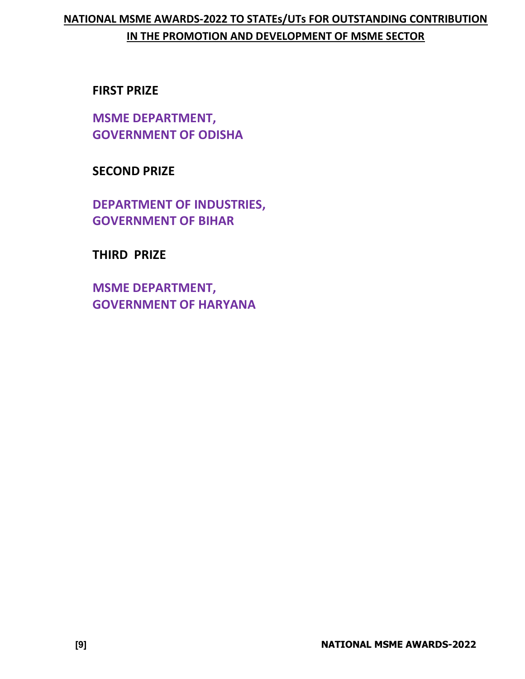# NATIONAL MSME AWARDS-2022 TO STATEs/UTs FOR OUTSTANDING CONTRIBUTION IN THE PROMOTION AND DEVELOPMENT OF MSME SECTOR

# FIRST PRIZE

MSME DEPARTMENT, GOVERNMENT OF ODISHA

SECOND PRIZE

DEPARTMENT OF INDUSTRIES, GOVERNMENT OF BIHAR

THIRD PRIZE

MSME DEPARTMENT, GOVERNMENT OF HARYANA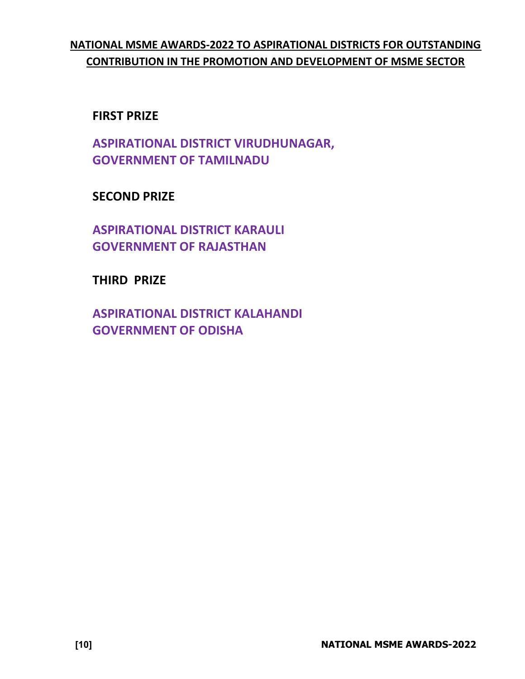# NATIONAL MSME AWARDS-2022 TO ASPIRATIONAL DISTRICTS FOR OUTSTANDING CONTRIBUTION IN THE PROMOTION AND DEVELOPMENT OF MSME SECTOR

# FIRST PRIZE

ASPIRATIONAL DISTRICT VIRUDHUNAGAR, GOVERNMENT OF TAMILNADU

SECOND PRIZE

ASPIRATIONAL DISTRICT KARAULI GOVERNMENT OF RAJASTHAN

THIRD PRIZE

ASPIRATIONAL DISTRICT KALAHANDI GOVERNMENT OF ODISHA